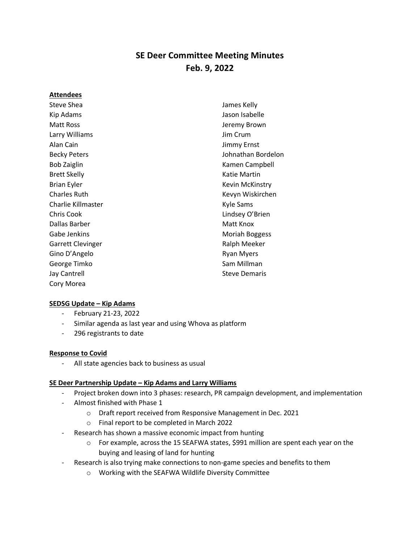# **SE Deer Committee Meeting Minutes Feb. 9, 2022**

#### **Attendees**

Steve Shea Kip Adams Matt Ross Larry Williams Alan Cain Becky Peters Bob Zaiglin Brett Skelly Brian Eyler Charles Ruth Charlie Killmaster Chris Cook Dallas Barber Gabe Jenkins Garrett Clevinger Gino D'Angelo George Timko Jay Cantrell Cory Morea

James Kelly Jason Isabelle Jeremy Brown Jim Crum Jimmy Ernst Johnathan Bordelon Kamen Campbell Katie Martin Kevin McKinstry Kevyn Wiskirchen Kyle Sams Lindsey O'Brien Matt Knox Moriah Boggess Ralph Meeker Ryan Myers Sam Millman Steve Demaris

# **SEDSG Update – Kip Adams**

- February 21-23, 2022
- Similar agenda as last year and using Whova as platform
- 296 registrants to date

#### **Response to Covid**

- All state agencies back to business as usual

# **SE Deer Partnership Update – Kip Adams and Larry Williams**

- Project broken down into 3 phases: research, PR campaign development, and implementation
- Almost finished with Phase 1
	- o Draft report received from Responsive Management in Dec. 2021
	- o Final report to be completed in March 2022
- Research has shown a massive economic impact from hunting
	- $\circ$  For example, across the 15 SEAFWA states, \$991 million are spent each year on the buying and leasing of land for hunting
- Research is also trying make connections to non-game species and benefits to them
	- o Working with the SEAFWA Wildlife Diversity Committee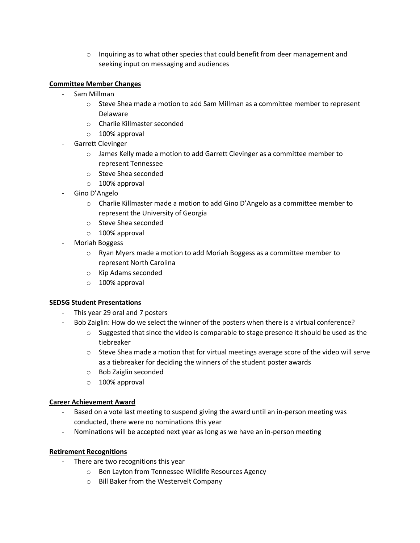$\circ$  Inquiring as to what other species that could benefit from deer management and seeking input on messaging and audiences

## **Committee Member Changes**

- Sam Millman
	- $\circ$  Steve Shea made a motion to add Sam Millman as a committee member to represent Delaware
	- o Charlie Killmaster seconded
	- o 100% approval
- Garrett Clevinger
	- o James Kelly made a motion to add Garrett Clevinger as a committee member to represent Tennessee
	- o Steve Shea seconded
	- o 100% approval
- Gino D'Angelo
	- o Charlie Killmaster made a motion to add Gino D'Angelo as a committee member to represent the University of Georgia
	- o Steve Shea seconded
	- o 100% approval
- Moriah Boggess
	- $\circ$  Ryan Myers made a motion to add Moriah Boggess as a committee member to represent North Carolina
	- o Kip Adams seconded
	- o 100% approval

#### **SEDSG Student Presentations**

- This year 29 oral and 7 posters
- Bob Zaiglin: How do we select the winner of the posters when there is a virtual conference?
	- $\circ$  Suggested that since the video is comparable to stage presence it should be used as the tiebreaker
	- $\circ$  Steve Shea made a motion that for virtual meetings average score of the video will serve as a tiebreaker for deciding the winners of the student poster awards
	- o Bob Zaiglin seconded
	- o 100% approval

#### **Career Achievement Award**

- Based on a vote last meeting to suspend giving the award until an in-person meeting was conducted, there were no nominations this year
- Nominations will be accepted next year as long as we have an in-person meeting

#### **Retirement Recognitions**

- There are two recognitions this year
	- o Ben Layton from Tennessee Wildlife Resources Agency
	- o Bill Baker from the Westervelt Company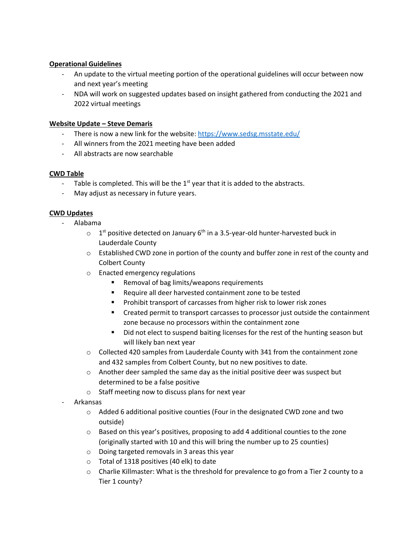# **Operational Guidelines**

- An update to the virtual meeting portion of the operational guidelines will occur between now and next year's meeting
- NDA will work on suggested updates based on insight gathered from conducting the 2021 and 2022 virtual meetings

#### **Website Update – Steve Demaris**

- There is now a new link for the website:<https://www.sedsg.msstate.edu/>
- All winners from the 2021 meeting have been added
- All abstracts are now searchable

#### **CWD Table**

- Table is completed. This will be the  $1<sup>st</sup>$  year that it is added to the abstracts.
- May adjust as necessary in future years.

#### **CWD Updates**

- Alabama
	- $\circ$  1<sup>st</sup> positive detected on January 6<sup>th</sup> in a 3.5-year-old hunter-harvested buck in Lauderdale County
	- $\circ$  Established CWD zone in portion of the county and buffer zone in rest of the county and Colbert County
	- o Enacted emergency regulations
		- Removal of bag limits/weapons requirements
		- Require all deer harvested containment zone to be tested
		- Prohibit transport of carcasses from higher risk to lower risk zones
		- Created permit to transport carcasses to processor just outside the containment zone because no processors within the containment zone
		- Did not elect to suspend baiting licenses for the rest of the hunting season but will likely ban next year
	- $\circ$  Collected 420 samples from Lauderdale County with 341 from the containment zone and 432 samples from Colbert County, but no new positives to date.
	- $\circ$  Another deer sampled the same day as the initial positive deer was suspect but determined to be a false positive
	- o Staff meeting now to discuss plans for next year
	- Arkansas
		- $\circ$  Added 6 additional positive counties (Four in the designated CWD zone and two outside)
		- $\circ$  Based on this year's positives, proposing to add 4 additional counties to the zone (originally started with 10 and this will bring the number up to 25 counties)
		- o Doing targeted removals in 3 areas this year
		- o Total of 1318 positives (40 elk) to date
		- $\circ$  Charlie Killmaster: What is the threshold for prevalence to go from a Tier 2 county to a Tier 1 county?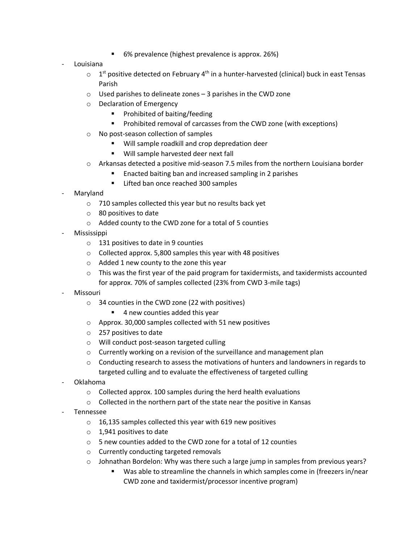6% prevalence (highest prevalence is approx. 26%)

### - Louisiana

- $\circ$  1<sup>st</sup> positive detected on February 4<sup>th</sup> in a hunter-harvested (clinical) buck in east Tensas Parish
- $\circ$  Used parishes to delineate zones 3 parishes in the CWD zone
- o Declaration of Emergency
	- Prohibited of baiting/feeding
	- Prohibited removal of carcasses from the CWD zone (with exceptions)
- o No post-season collection of samples
	- Will sample roadkill and crop depredation deer
	- Will sample harvested deer next fall
- $\circ$  Arkansas detected a positive mid-season 7.5 miles from the northern Louisiana border
	- Enacted baiting ban and increased sampling in 2 parishes
	- Lifted ban once reached 300 samples
- **Maryland** 
	- o 710 samples collected this year but no results back yet
	- o 80 positives to date
	- o Added county to the CWD zone for a total of 5 counties
- Mississippi
	- o 131 positives to date in 9 counties
	- o Collected approx. 5,800 samples this year with 48 positives
	- $\circ$  Added 1 new county to the zone this year
	- $\circ$  This was the first year of the paid program for taxidermists, and taxidermists accounted for approx. 70% of samples collected (23% from CWD 3-mile tags)
- **Missouri** 
	- o 34 counties in the CWD zone (22 with positives)
		- 4 new counties added this year
	- o Approx. 30,000 samples collected with 51 new positives
	- o 257 positives to date
	- o Will conduct post-season targeted culling
	- o Currently working on a revision of the surveillance and management plan
	- $\circ$  Conducting research to assess the motivations of hunters and landowners in regards to targeted culling and to evaluate the effectiveness of targeted culling
- Oklahoma
	- o Collected approx. 100 samples during the herd health evaluations
	- o Collected in the northern part of the state near the positive in Kansas
- Tennessee
	- o 16,135 samples collected this year with 619 new positives
	- o 1,941 positives to date
	- o 5 new counties added to the CWD zone for a total of 12 counties
	- o Currently conducting targeted removals
	- $\circ$  Johnathan Bordelon: Why was there such a large jump in samples from previous years?
		- Was able to streamline the channels in which samples come in (freezers in/near CWD zone and taxidermist/processor incentive program)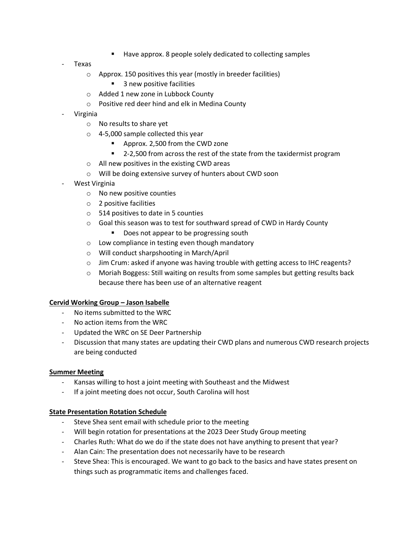- Have approx. 8 people solely dedicated to collecting samples
- Texas
	- o Approx. 150 positives this year (mostly in breeder facilities)
		- 3 new positive facilities
	- o Added 1 new zone in Lubbock County
	- o Positive red deer hind and elk in Medina County
- Virginia
	- o No results to share yet
	- o 4-5,000 sample collected this year
		- Approx. 2,500 from the CWD zone
		- 2-2,500 from across the rest of the state from the taxidermist program
	- o All new positives in the existing CWD areas
	- o Will be doing extensive survey of hunters about CWD soon
- West Virginia
	- o No new positive counties
	- o 2 positive facilities
	- o 514 positives to date in 5 counties
	- o Goal this season was to test for southward spread of CWD in Hardy County
		- Does not appear to be progressing south
	- o Low compliance in testing even though mandatory
	- o Will conduct sharpshooting in March/April
	- $\circ$  Jim Crum: asked if anyone was having trouble with getting access to IHC reagents?
	- o Moriah Boggess: Still waiting on results from some samples but getting results back because there has been use of an alternative reagent

#### **Cervid Working Group – Jason Isabelle**

- No items submitted to the WRC
- No action items from the WRC
- Updated the WRC on SE Deer Partnership
- Discussion that many states are updating their CWD plans and numerous CWD research projects are being conducted

#### **Summer Meeting**

- Kansas willing to host a joint meeting with Southeast and the Midwest
- If a joint meeting does not occur, South Carolina will host

#### **State Presentation Rotation Schedule**

- Steve Shea sent email with schedule prior to the meeting
- Will begin rotation for presentations at the 2023 Deer Study Group meeting
- Charles Ruth: What do we do if the state does not have anything to present that year?
- Alan Cain: The presentation does not necessarily have to be research
- Steve Shea: This is encouraged. We want to go back to the basics and have states present on things such as programmatic items and challenges faced.